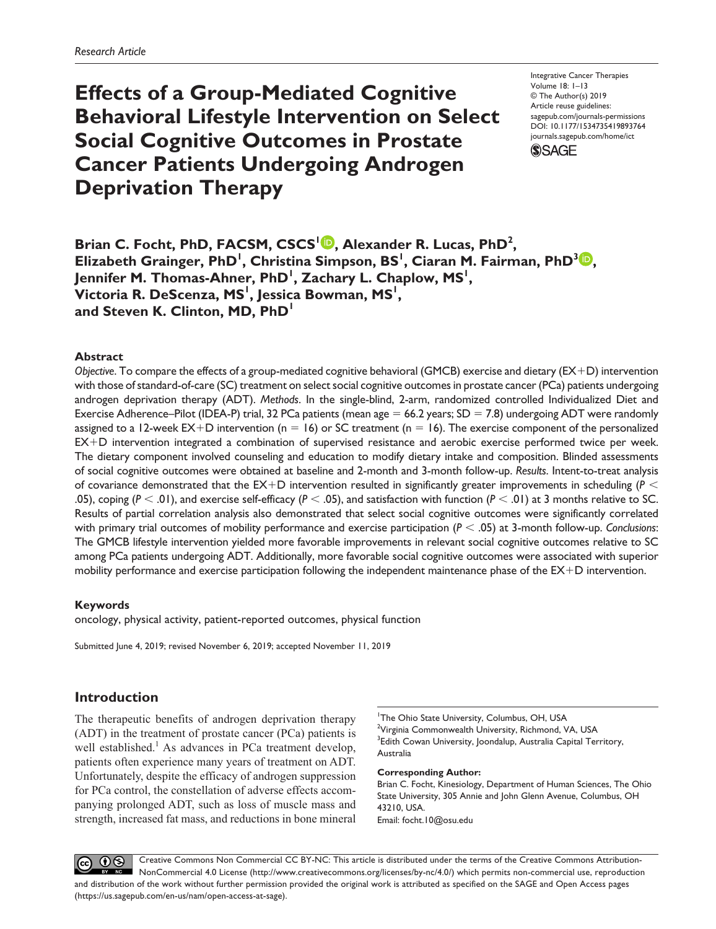# **Effects of a Group-Mediated Cognitive Behavioral Lifestyle Intervention on Select Social Cognitive Outcomes in Prostate Cancer Patients Undergoing Androgen Deprivation Therapy**

https://doi.org/10.1177/1534735419893764 DOI: 10.1177/1534735419893764 Integrative Cancer Therapies Volume 18: 1–13 © The Author(s) 2019 Article reuse guidelines: [sagepub.com/journals-permissions](https://us.sagepub.com/en-us/journals-permissions)  [journals.sagepub.com/home/ict](https://journals.sagepub.com/home/ict)

**SAGE** 

Brian C. Focht, PhD, FACSM, CSCS<sup>I</sup><sup>D</sup>, Alexander R. Lucas, PhD<sup>2</sup>, **Elizabeth Grainger, PhD<sup>1</sup>, Christina Simpson, BS<sup>1</sup>, Ciaran M. Fairman, PhD<sup>3</sup><sup>1</sup>,** Jennifer M. Thomas-Ahner, PhD<sup>1</sup>, Zachary L. Chaplow, MS<sup>1</sup>,  $\mathsf{Victoria\ R.\ DeScenza,\ MS^{\mathsf{I}},\ Jessica\ Bowman,\ MS^{\mathsf{I}},\ Jas: \ \mathsf{S}^\mathsf{I}$ and Steven K. Clinton, MD, PhD<sup>1</sup>

## **Abstract**

*Objective*. To compare the effects of a group-mediated cognitive behavioral (GMCB) exercise and dietary (EX+D) intervention with those of standard-of-care (SC) treatment on select social cognitive outcomes in prostate cancer (PCa) patients undergoing androgen deprivation therapy (ADT). *Methods*. In the single-blind, 2-arm, randomized controlled Individualized Diet and Exercise Adherence–Pilot (IDEA-P) trial, 32 PCa patients (mean age  $= 66.2$  years; SD  $= 7.8$ ) undergoing ADT were randomly assigned to a 12-week  $EX+D$  intervention (n = 16) or SC treatment (n = 16). The exercise component of the personalized EX+D intervention integrated a combination of supervised resistance and aerobic exercise performed twice per week. The dietary component involved counseling and education to modify dietary intake and composition. Blinded assessments of social cognitive outcomes were obtained at baseline and 2-month and 3-month follow-up. *Results*. Intent-to-treat analysis of covariance demonstrated that the EX+D intervention resulted in significantly greater improvements in scheduling (*P* < .05), coping (*P* < .01), and exercise self-efficacy (*P* < .05), and satisfaction with function (*P* < .01) at 3 months relative to SC. Results of partial correlation analysis also demonstrated that select social cognitive outcomes were significantly correlated with primary trial outcomes of mobility performance and exercise participation (*P* < .05) at 3-month follow-up. *Conclusions*: The GMCB lifestyle intervention yielded more favorable improvements in relevant social cognitive outcomes relative to SC among PCa patients undergoing ADT. Additionally, more favorable social cognitive outcomes were associated with superior mobility performance and exercise participation following the independent maintenance phase of the EX+D intervention.

#### **Keywords**

oncology, physical activity, patient-reported outcomes, physical function

Submitted June 4, 2019; revised November 6, 2019; accepted November 11, 2019

# **Introduction**

The therapeutic benefits of androgen deprivation therapy (ADT) in the treatment of prostate cancer (PCa) patients is well established.<sup>1</sup> As advances in PCa treatment develop, patients often experience many years of treatment on ADT. Unfortunately, despite the efficacy of androgen suppression for PCa control, the constellation of adverse effects accompanying prolonged ADT, such as loss of muscle mass and strength, increased fat mass, and reductions in bone mineral

<sup>1</sup>The Ohio State University, Columbus, OH, USA <sup>2</sup>Virginia Commonwealth University, Richmond, VA, USA <sup>3</sup>Edith Cowan University, Joondalup, Australia Capital Territory, Australia

#### **Corresponding Author:**

Brian C. Focht, Kinesiology, Department of Human Sciences, The Ohio State University, 305 Annie and John Glenn Avenue, Columbus, OH 43210, USA. Email: [focht.10@osu.edu](mailto:focht.10@osu.edu)

**@ 00** Creative Commons Non Commercial CC BY-NC: This article is distributed under the terms of the Creative Commons Attribution-NonCommercial 4.0 License (http://www.creativecommons.org/licenses/by-nc/4.0/) which permits non-commercial use, reproduction and distribution of the work without further permission provided the original work is attributed as specified on the SAGE and Open Access pages (https://us.sagepub.com/en-us/nam/open-access-at-sage).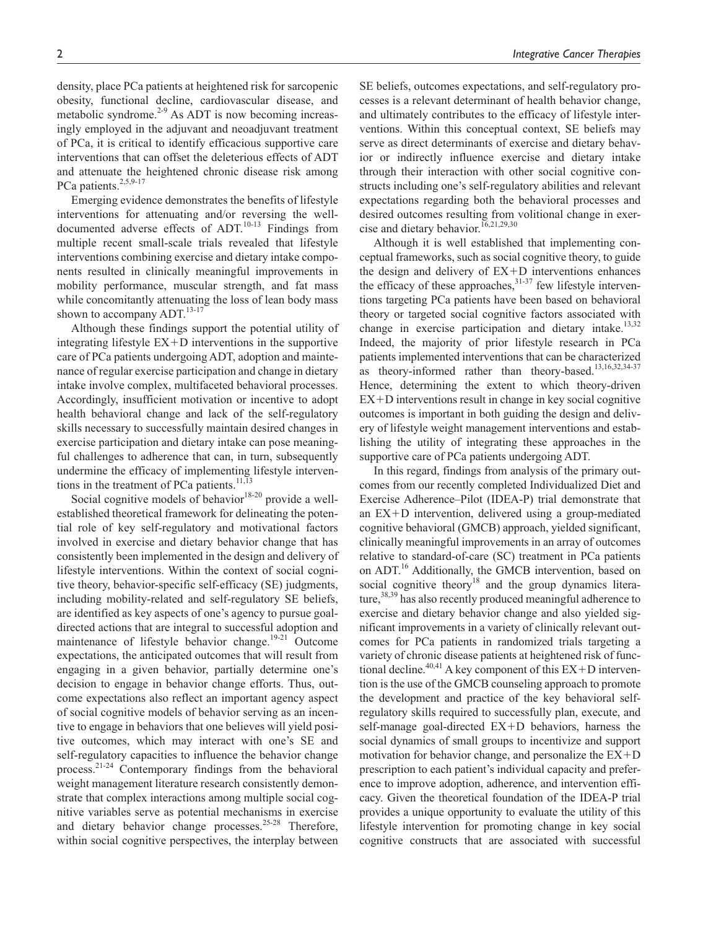density, place PCa patients at heightened risk for sarcopenic obesity, functional decline, cardiovascular disease, and metabolic syndrome. $2-9$  As ADT is now becoming increasingly employed in the adjuvant and neoadjuvant treatment of PCa, it is critical to identify efficacious supportive care interventions that can offset the deleterious effects of ADT and attenuate the heightened chronic disease risk among PCa patients.<sup>2,5,9-17</sup>

Emerging evidence demonstrates the benefits of lifestyle interventions for attenuating and/or reversing the welldocumented adverse effects of ADT.<sup>10-13</sup> Findings from multiple recent small-scale trials revealed that lifestyle interventions combining exercise and dietary intake components resulted in clinically meaningful improvements in mobility performance, muscular strength, and fat mass while concomitantly attenuating the loss of lean body mass shown to accompany  $ADT$ <sup>13-17</sup>

Although these findings support the potential utility of integrating lifestyle EX+D interventions in the supportive care of PCa patients undergoing ADT, adoption and maintenance of regular exercise participation and change in dietary intake involve complex, multifaceted behavioral processes. Accordingly, insufficient motivation or incentive to adopt health behavioral change and lack of the self-regulatory skills necessary to successfully maintain desired changes in exercise participation and dietary intake can pose meaningful challenges to adherence that can, in turn, subsequently undermine the efficacy of implementing lifestyle interventions in the treatment of PCa patients. $11,13$ 

Social cognitive models of behavior $18-20$  provide a wellestablished theoretical framework for delineating the potential role of key self-regulatory and motivational factors involved in exercise and dietary behavior change that has consistently been implemented in the design and delivery of lifestyle interventions. Within the context of social cognitive theory, behavior-specific self-efficacy (SE) judgments, including mobility-related and self-regulatory SE beliefs, are identified as key aspects of one's agency to pursue goaldirected actions that are integral to successful adoption and maintenance of lifestyle behavior change.<sup>19-21</sup> Outcome expectations, the anticipated outcomes that will result from engaging in a given behavior, partially determine one's decision to engage in behavior change efforts. Thus, outcome expectations also reflect an important agency aspect of social cognitive models of behavior serving as an incentive to engage in behaviors that one believes will yield positive outcomes, which may interact with one's SE and self-regulatory capacities to influence the behavior change process.21-24 Contemporary findings from the behavioral weight management literature research consistently demonstrate that complex interactions among multiple social cognitive variables serve as potential mechanisms in exercise and dietary behavior change processes.<sup>25-28</sup> Therefore, within social cognitive perspectives, the interplay between

SE beliefs, outcomes expectations, and self-regulatory processes is a relevant determinant of health behavior change, and ultimately contributes to the efficacy of lifestyle interventions. Within this conceptual context, SE beliefs may serve as direct determinants of exercise and dietary behavior or indirectly influence exercise and dietary intake through their interaction with other social cognitive constructs including one's self-regulatory abilities and relevant expectations regarding both the behavioral processes and desired outcomes resulting from volitional change in exercise and dietary behavior.<sup>16,21,29,30</sup>

Although it is well established that implementing conceptual frameworks, such as social cognitive theory, to guide the design and delivery of EX+D interventions enhances the efficacy of these approaches,  $31-37$  few lifestyle interventions targeting PCa patients have been based on behavioral theory or targeted social cognitive factors associated with change in exercise participation and dietary intake.<sup>13,32</sup> Indeed, the majority of prior lifestyle research in PCa patients implemented interventions that can be characterized as theory-informed rather than theory-based.<sup>13,16,32,34-37</sup> Hence, determining the extent to which theory-driven  $EX+D$  interventions result in change in key social cognitive outcomes is important in both guiding the design and delivery of lifestyle weight management interventions and establishing the utility of integrating these approaches in the supportive care of PCa patients undergoing ADT.

In this regard, findings from analysis of the primary outcomes from our recently completed Individualized Diet and Exercise Adherence–Pilot (IDEA-P) trial demonstrate that an EX+D intervention, delivered using a group-mediated cognitive behavioral (GMCB) approach, yielded significant, clinically meaningful improvements in an array of outcomes relative to standard-of-care (SC) treatment in PCa patients on ADT.<sup>16</sup> Additionally, the GMCB intervention, based on social cognitive theory<sup>18</sup> and the group dynamics literature,<sup>38,39</sup> has also recently produced meaningful adherence to exercise and dietary behavior change and also yielded significant improvements in a variety of clinically relevant outcomes for PCa patients in randomized trials targeting a variety of chronic disease patients at heightened risk of functional decline.<sup>40,41</sup> A key component of this  $EX+D$  intervention is the use of the GMCB counseling approach to promote the development and practice of the key behavioral selfregulatory skills required to successfully plan, execute, and self-manage goal-directed  $EX+D$  behaviors, harness the social dynamics of small groups to incentivize and support motivation for behavior change, and personalize the  $EX+D$ prescription to each patient's individual capacity and preference to improve adoption, adherence, and intervention efficacy. Given the theoretical foundation of the IDEA-P trial provides a unique opportunity to evaluate the utility of this lifestyle intervention for promoting change in key social cognitive constructs that are associated with successful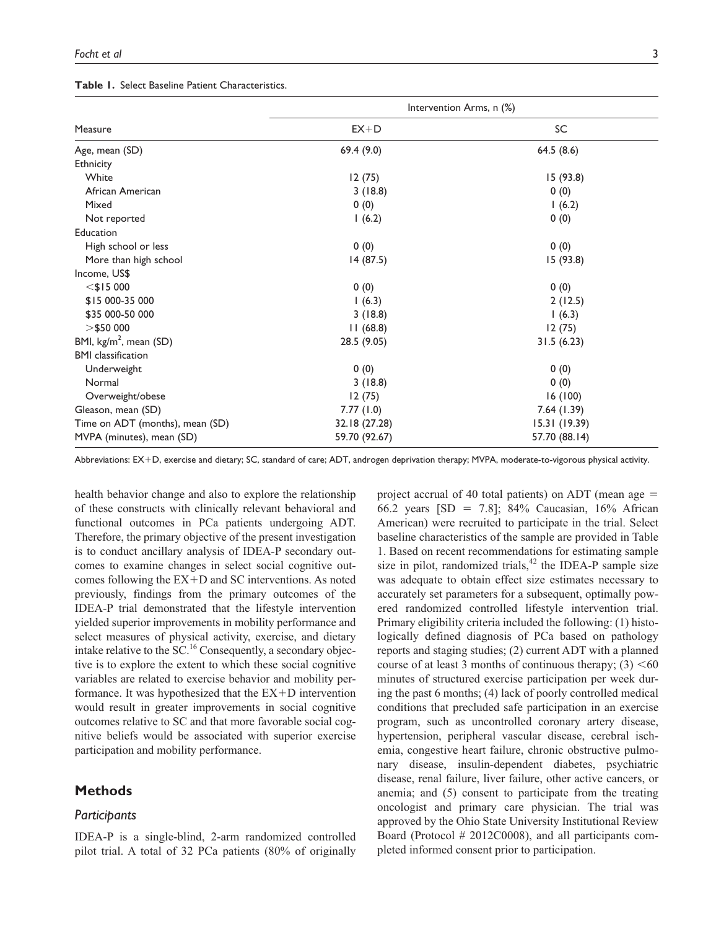| Table 1. Select Baseline Patient Characteristics. |  |
|---------------------------------------------------|--|
|---------------------------------------------------|--|

| Measure                         | Intervention Arms, n (%) |               |  |
|---------------------------------|--------------------------|---------------|--|
|                                 | $EX+D$                   | SC            |  |
| Age, mean (SD)                  | 69.4(9.0)                | 64.5(8.6)     |  |
| Ethnicity                       |                          |               |  |
| White                           | 12(75)                   | 15(93.8)      |  |
| African American                | 3(18.8)                  | 0(0)          |  |
| Mixed                           | 0(0)                     | 1(6.2)        |  |
| Not reported                    | 1(6.2)                   | 0(0)          |  |
| Education                       |                          |               |  |
| High school or less             | 0(0)                     | 0(0)          |  |
| More than high school           | 14(87.5)                 | 15 (93.8)     |  |
| Income, US\$                    |                          |               |  |
| $<$ \$15 000                    | 0(0)                     | 0(0)          |  |
| \$15 000-35 000                 | 1(6.3)                   | 2(12.5)       |  |
| \$35 000-50 000                 | 3(18.8)                  | 1(6.3)        |  |
| $>$ \$50 000                    | 11(68.8)                 | 12(75)        |  |
| BMI, $kg/m^2$ , mean (SD)       | 28.5 (9.05)              | 31.5(6.23)    |  |
| <b>BMI</b> classification       |                          |               |  |
| Underweight                     | 0(0)                     | 0(0)          |  |
| Normal                          | 3(18.8)                  | 0(0)          |  |
| Overweight/obese                | 12(75)                   | 16(100)       |  |
| Gleason, mean (SD)              | 7.77(1.0)                | 7.64 (1.39)   |  |
| Time on ADT (months), mean (SD) | 32.18 (27.28)            | 15.31 (19.39) |  |
| MVPA (minutes), mean (SD)       | 59.70 (92.67)            | 57.70 (88.14) |  |

Abbreviations: EX+D, exercise and dietary; SC, standard of care; ADT, androgen deprivation therapy; MVPA, moderate-to-vigorous physical activity.

health behavior change and also to explore the relationship of these constructs with clinically relevant behavioral and functional outcomes in PCa patients undergoing ADT. Therefore, the primary objective of the present investigation is to conduct ancillary analysis of IDEA-P secondary outcomes to examine changes in select social cognitive outcomes following the EX+D and SC interventions. As noted previously, findings from the primary outcomes of the IDEA-P trial demonstrated that the lifestyle intervention yielded superior improvements in mobility performance and select measures of physical activity, exercise, and dietary intake relative to the SC.16 Consequently, a secondary objective is to explore the extent to which these social cognitive variables are related to exercise behavior and mobility performance. It was hypothesized that the  $EX+D$  intervention would result in greater improvements in social cognitive outcomes relative to SC and that more favorable social cognitive beliefs would be associated with superior exercise participation and mobility performance.

# **Methods**

## *Participants*

IDEA-P is a single-blind, 2-arm randomized controlled pilot trial. A total of 32 PCa patients (80% of originally project accrual of 40 total patients) on ADT (mean age  $=$ 66.2 years [SD = 7.8]; 84% Caucasian, 16% African American) were recruited to participate in the trial. Select baseline characteristics of the sample are provided in Table 1. Based on recent recommendations for estimating sample size in pilot, randomized trials, $42$  the IDEA-P sample size was adequate to obtain effect size estimates necessary to accurately set parameters for a subsequent, optimally powered randomized controlled lifestyle intervention trial. Primary eligibility criteria included the following: (1) histologically defined diagnosis of PCa based on pathology reports and staging studies; (2) current ADT with a planned course of at least 3 months of continuous therapy;  $(3)$  <60 minutes of structured exercise participation per week during the past 6 months; (4) lack of poorly controlled medical conditions that precluded safe participation in an exercise program, such as uncontrolled coronary artery disease, hypertension, peripheral vascular disease, cerebral ischemia, congestive heart failure, chronic obstructive pulmonary disease, insulin-dependent diabetes, psychiatric disease, renal failure, liver failure, other active cancers, or anemia; and (5) consent to participate from the treating oncologist and primary care physician. The trial was approved by the Ohio State University Institutional Review Board (Protocol # 2012C0008), and all participants completed informed consent prior to participation.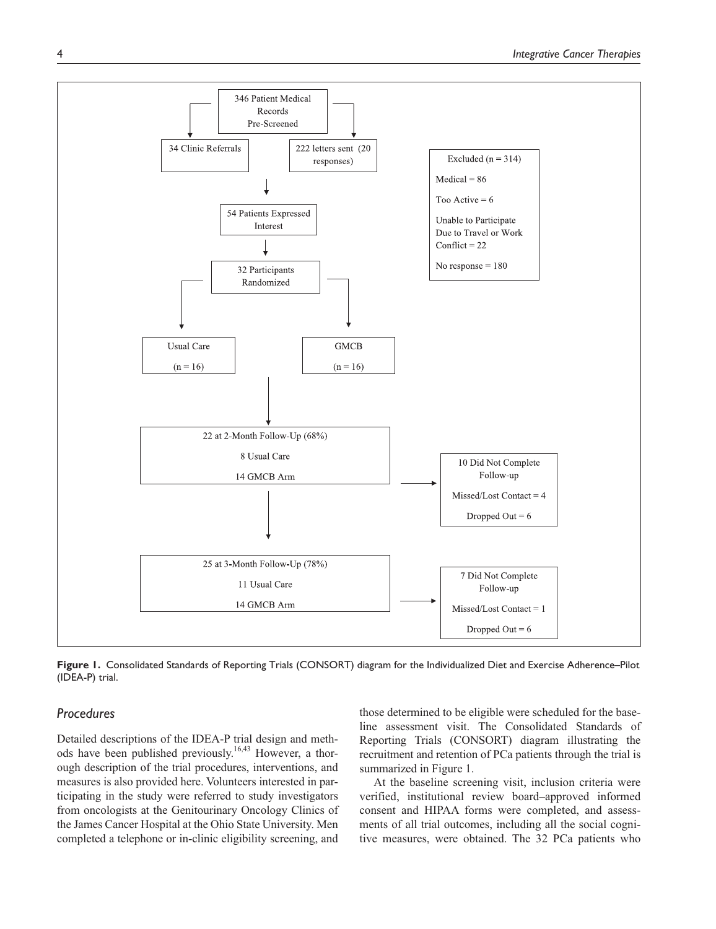

**Figure 1.** Consolidated Standards of Reporting Trials (CONSORT) diagram for the Individualized Diet and Exercise Adherence–Pilot (IDEA-P) trial.

# *Procedures*

Detailed descriptions of the IDEA-P trial design and methods have been published previously.<sup>16,43</sup> However, a thorough description of the trial procedures, interventions, and measures is also provided here. Volunteers interested in participating in the study were referred to study investigators from oncologists at the Genitourinary Oncology Clinics of the James Cancer Hospital at the Ohio State University. Men completed a telephone or in-clinic eligibility screening, and

those determined to be eligible were scheduled for the baseline assessment visit. The Consolidated Standards of Reporting Trials (CONSORT) diagram illustrating the recruitment and retention of PCa patients through the trial is summarized in Figure 1.

At the baseline screening visit, inclusion criteria were verified, institutional review board–approved informed consent and HIPAA forms were completed, and assessments of all trial outcomes, including all the social cognitive measures, were obtained. The 32 PCa patients who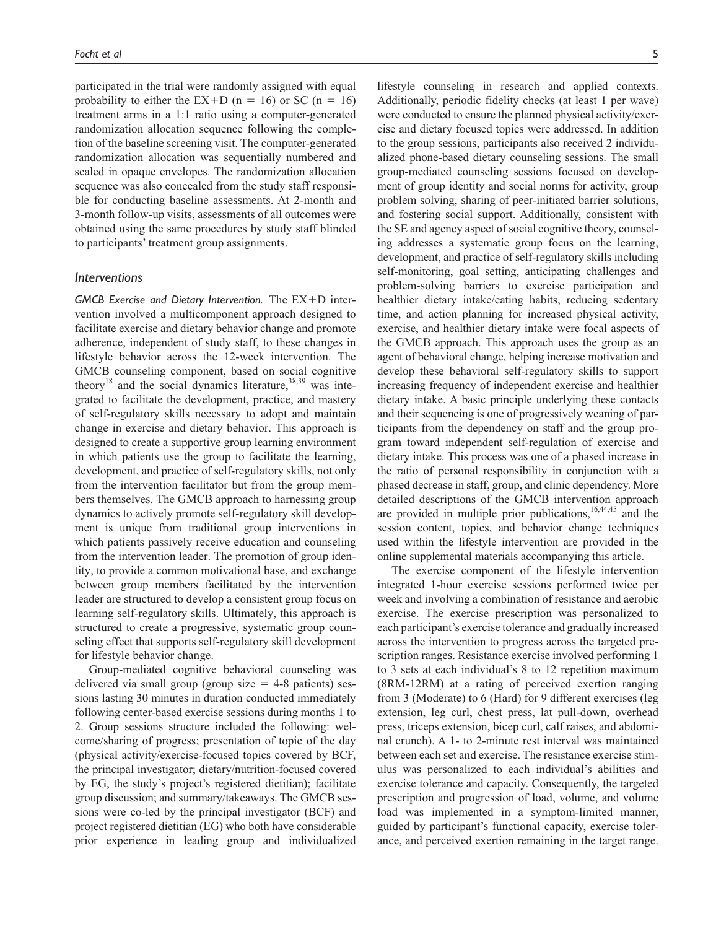participated in the trial were randomly assigned with equal probability to either the EX+D (n = 16) or SC (n = 16) treatment arms in a 1:1 ratio using a computer-generated randomization allocation sequence following the completion of the baseline screening visit. The computer-generated randomization allocation was sequentially numbered and sealed in opaque envelopes. The randomization allocation sequence was also concealed from the study staff responsible for conducting baseline assessments. At 2-month and 3-month follow-up visits, assessments of all outcomes were obtained using the same procedures by study staff blinded to participants' treatment group assignments.

#### *Interventions*

*GMCB Exercise and Dietary Intervention.* The EX+D intervention involved a multicomponent approach designed to facilitate exercise and dietary behavior change and promote adherence, independent of study staff, to these changes in lifestyle behavior across the 12-week intervention. The GMCB counseling component, based on social cognitive theory<sup>18</sup> and the social dynamics literature,  $38,39$  was integrated to facilitate the development, practice, and mastery of self-regulatory skills necessary to adopt and maintain change in exercise and dietary behavior. This approach is designed to create a supportive group learning environment in which patients use the group to facilitate the learning, development, and practice of self-regulatory skills, not only from the intervention facilitator but from the group members themselves. The GMCB approach to harnessing group dynamics to actively promote self-regulatory skill development is unique from traditional group interventions in which patients passively receive education and counseling from the intervention leader. The promotion of group identity, to provide a common motivational base, and exchange between group members facilitated by the intervention leader are structured to develop a consistent group focus on learning self-regulatory skills. Ultimately, this approach is structured to create a progressive, systematic group counseling effect that supports self-regulatory skill development for lifestyle behavior change.

Group-mediated cognitive behavioral counseling was delivered via small group (group size  $= 4-8$  patients) sessions lasting 30 minutes in duration conducted immediately following center-based exercise sessions during months 1 to 2. Group sessions structure included the following: welcome/sharing of progress; presentation of topic of the day (physical activity/exercise-focused topics covered by BCF, the principal investigator; dietary/nutrition-focused covered by EG, the study's project's registered dietitian); facilitate group discussion; and summary/takeaways. The GMCB sessions were co-led by the principal investigator (BCF) and project registered dietitian (EG) who both have considerable prior experience in leading group and individualized

lifestyle counseling in research and applied contexts. Additionally, periodic fidelity checks (at least 1 per wave) were conducted to ensure the planned physical activity/exercise and dietary focused topics were addressed. In addition to the group sessions, participants also received 2 individualized phone-based dietary counseling sessions. The small group-mediated counseling sessions focused on development of group identity and social norms for activity, group problem solving, sharing of peer-initiated barrier solutions, and fostering social support. Additionally, consistent with the SE and agency aspect of social cognitive theory, counseling addresses a systematic group focus on the learning, development, and practice of self-regulatory skills including self-monitoring, goal setting, anticipating challenges and problem-solving barriers to exercise participation and healthier dietary intake/eating habits, reducing sedentary time, and action planning for increased physical activity, exercise, and healthier dietary intake were focal aspects of the GMCB approach. This approach uses the group as an agent of behavioral change, helping increase motivation and develop these behavioral self-regulatory skills to support increasing frequency of independent exercise and healthier dietary intake. A basic principle underlying these contacts and their sequencing is one of progressively weaning of participants from the dependency on staff and the group program toward independent self-regulation of exercise and dietary intake. This process was one of a phased increase in the ratio of personal responsibility in conjunction with a phased decrease in staff, group, and clinic dependency. More detailed descriptions of the GMCB intervention approach are provided in multiple prior publications,  $16,44,45$  and the session content, topics, and behavior change techniques used within the lifestyle intervention are provided in the online supplemental materials accompanying this article.

The exercise component of the lifestyle intervention integrated 1-hour exercise sessions performed twice per week and involving a combination of resistance and aerobic exercise. The exercise prescription was personalized to each participant's exercise tolerance and gradually increased across the intervention to progress across the targeted prescription ranges. Resistance exercise involved performing 1 to 3 sets at each individual's 8 to 12 repetition maximum (8RM-12RM) at a rating of perceived exertion ranging from 3 (Moderate) to 6 (Hard) for 9 different exercises (leg extension, leg curl, chest press, lat pull-down, overhead press, triceps extension, bicep curl, calf raises, and abdominal crunch). A 1- to 2-minute rest interval was maintained between each set and exercise. The resistance exercise stimulus was personalized to each individual's abilities and exercise tolerance and capacity. Consequently, the targeted prescription and progression of load, volume, and volume load was implemented in a symptom-limited manner, guided by participant's functional capacity, exercise tolerance, and perceived exertion remaining in the target range.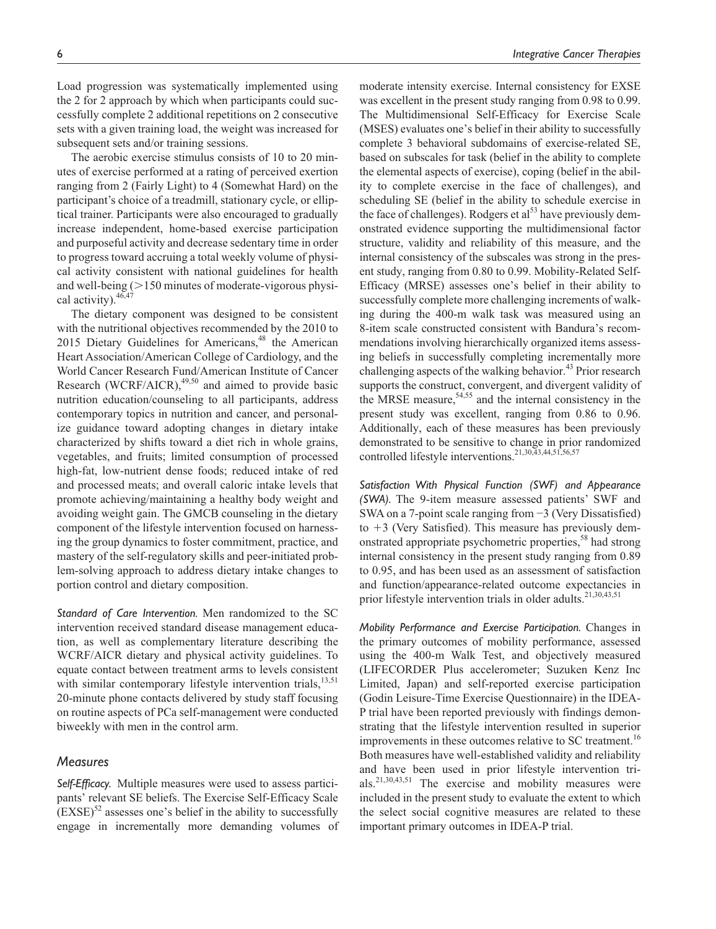Load progression was systematically implemented using the 2 for 2 approach by which when participants could successfully complete 2 additional repetitions on 2 consecutive sets with a given training load, the weight was increased for subsequent sets and/or training sessions.

The aerobic exercise stimulus consists of 10 to 20 minutes of exercise performed at a rating of perceived exertion ranging from 2 (Fairly Light) to 4 (Somewhat Hard) on the participant's choice of a treadmill, stationary cycle, or elliptical trainer. Participants were also encouraged to gradually increase independent, home-based exercise participation and purposeful activity and decrease sedentary time in order to progress toward accruing a total weekly volume of physical activity consistent with national guidelines for health and well-being (>150 minutes of moderate-vigorous physical activity).  $46,47$ 

The dietary component was designed to be consistent with the nutritional objectives recommended by the 2010 to 2015 Dietary Guidelines for Americans,<sup>48</sup> the American Heart Association/American College of Cardiology, and the World Cancer Research Fund/American Institute of Cancer Research (WCRF/AICR), $49,50$  and aimed to provide basic nutrition education/counseling to all participants, address contemporary topics in nutrition and cancer, and personalize guidance toward adopting changes in dietary intake characterized by shifts toward a diet rich in whole grains, vegetables, and fruits; limited consumption of processed high-fat, low-nutrient dense foods; reduced intake of red and processed meats; and overall caloric intake levels that promote achieving/maintaining a healthy body weight and avoiding weight gain. The GMCB counseling in the dietary component of the lifestyle intervention focused on harnessing the group dynamics to foster commitment, practice, and mastery of the self-regulatory skills and peer-initiated problem-solving approach to address dietary intake changes to portion control and dietary composition.

*Standard of Care Intervention.* Men randomized to the SC intervention received standard disease management education, as well as complementary literature describing the WCRF/AICR dietary and physical activity guidelines. To equate contact between treatment arms to levels consistent with similar contemporary lifestyle intervention trials, $13,51$ 20-minute phone contacts delivered by study staff focusing on routine aspects of PCa self-management were conducted biweekly with men in the control arm.

## *Measures*

*Self-Efficacy.* Multiple measures were used to assess participants' relevant SE beliefs. The Exercise Self-Efficacy Scale  $(EXSE)^{52}$  assesses one's belief in the ability to successfully engage in incrementally more demanding volumes of

moderate intensity exercise. Internal consistency for EXSE was excellent in the present study ranging from 0.98 to 0.99. The Multidimensional Self-Efficacy for Exercise Scale (MSES) evaluates one's belief in their ability to successfully complete 3 behavioral subdomains of exercise-related SE, based on subscales for task (belief in the ability to complete the elemental aspects of exercise), coping (belief in the ability to complete exercise in the face of challenges), and scheduling SE (belief in the ability to schedule exercise in the face of challenges). Rodgers et al<sup>53</sup> have previously demonstrated evidence supporting the multidimensional factor structure, validity and reliability of this measure, and the internal consistency of the subscales was strong in the present study, ranging from 0.80 to 0.99. Mobility-Related Self-Efficacy (MRSE) assesses one's belief in their ability to successfully complete more challenging increments of walking during the 400-m walk task was measured using an 8-item scale constructed consistent with Bandura's recommendations involving hierarchically organized items assessing beliefs in successfully completing incrementally more challenging aspects of the walking behavior.<sup>43</sup> Prior research supports the construct, convergent, and divergent validity of the MRSE measure,  $54,55$  and the internal consistency in the present study was excellent, ranging from 0.86 to 0.96. Additionally, each of these measures has been previously demonstrated to be sensitive to change in prior randomized controlled lifestyle interventions.21,30,43,44,51,56,57

*Satisfaction With Physical Function (SWF) and Appearance (SWA).* The 9-item measure assessed patients' SWF and SWA on a 7-point scale ranging from −3 (Very Dissatisfied) to  $+3$  (Very Satisfied). This measure has previously demonstrated appropriate psychometric properties,<sup>58</sup> had strong internal consistency in the present study ranging from 0.89 to 0.95, and has been used as an assessment of satisfaction and function/appearance-related outcome expectancies in prior lifestyle intervention trials in older adults.<sup>21,30,43,51</sup>

*Mobility Performance and Exercise Participation.* Changes in the primary outcomes of mobility performance, assessed using the 400-m Walk Test, and objectively measured (LIFECORDER Plus accelerometer; Suzuken Kenz Inc Limited, Japan) and self-reported exercise participation (Godin Leisure-Time Exercise Questionnaire) in the IDEA-P trial have been reported previously with findings demonstrating that the lifestyle intervention resulted in superior improvements in these outcomes relative to SC treatment.<sup>16</sup> Both measures have well-established validity and reliability and have been used in prior lifestyle intervention trials. $21,30,43,51$  The exercise and mobility measures were included in the present study to evaluate the extent to which the select social cognitive measures are related to these important primary outcomes in IDEA-P trial.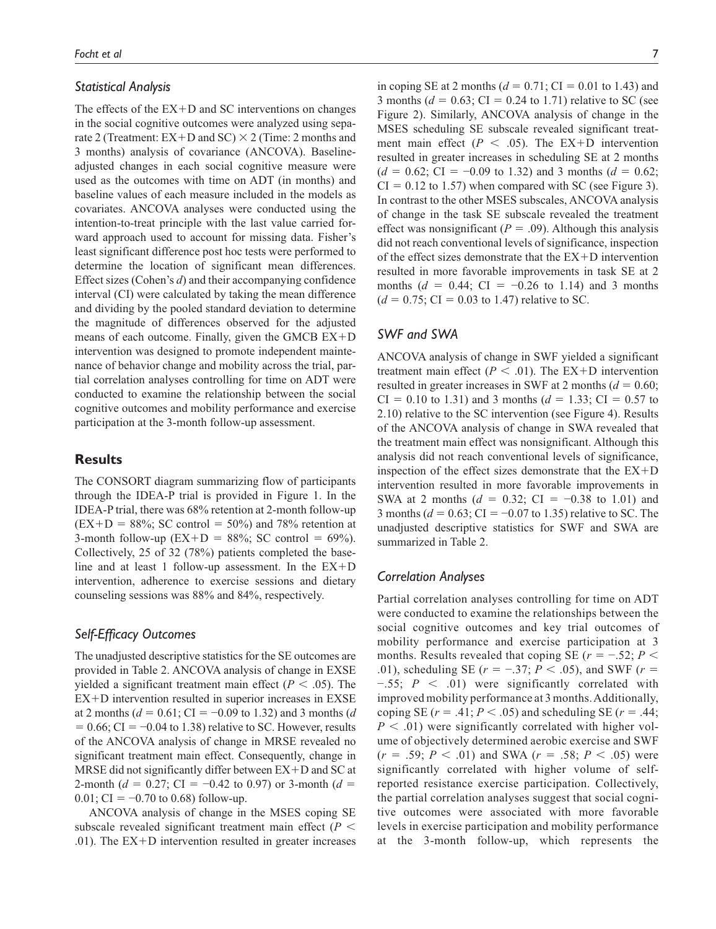## *Statistical Analysis*

The effects of the  $EX+D$  and SC interventions on changes in the social cognitive outcomes were analyzed using separate 2 (Treatment:  $EX+D$  and  $SC \times 2$  (Time: 2 months and 3 months) analysis of covariance (ANCOVA). Baselineadjusted changes in each social cognitive measure were used as the outcomes with time on ADT (in months) and baseline values of each measure included in the models as covariates. ANCOVA analyses were conducted using the intention-to-treat principle with the last value carried forward approach used to account for missing data. Fisher's least significant difference post hoc tests were performed to determine the location of significant mean differences. Effect sizes (Cohen's *d*) and their accompanying confidence interval (CI) were calculated by taking the mean difference and dividing by the pooled standard deviation to determine the magnitude of differences observed for the adjusted means of each outcome. Finally, given the GMCB  $EX+D$ intervention was designed to promote independent maintenance of behavior change and mobility across the trial, partial correlation analyses controlling for time on ADT were conducted to examine the relationship between the social cognitive outcomes and mobility performance and exercise participation at the 3-month follow-up assessment.

# **Results**

The CONSORT diagram summarizing flow of participants through the IDEA-P trial is provided in Figure 1. In the IDEA-P trial, there was 68% retention at 2-month follow-up  $(EX+D = 88\%; SC control = 50\%)$  and 78% retention at 3-month follow-up  $(EX+D = 88\%; SC \text{ control} = 69\%$ ). Collectively, 25 of 32 (78%) patients completed the baseline and at least 1 follow-up assessment. In the  $EX+D$ intervention, adherence to exercise sessions and dietary counseling sessions was 88% and 84%, respectively.

## *Self-Efficacy Outcomes*

The unadjusted descriptive statistics for the SE outcomes are provided in Table 2. ANCOVA analysis of change in EXSE yielded a significant treatment main effect ( $P < .05$ ). The EX+D intervention resulted in superior increases in EXSE at 2 months (*d* = 0.61; CI = −0.09 to 1.32) and 3 months (*d*  $= 0.66$ ; CI =  $-0.04$  to 1.38) relative to SC. However, results of the ANCOVA analysis of change in MRSE revealed no significant treatment main effect. Consequently, change in MRSE did not significantly differ between EX+D and SC at 2-month (*d* = 0.27; CI = −0.42 to 0.97) or 3-month (*d* = 0.01; CI =  $-0.70$  to 0.68) follow-up.

ANCOVA analysis of change in the MSES coping SE subscale revealed significant treatment main effect (*P* < .01). The  $EX+D$  intervention resulted in greater increases in coping SE at 2 months ( $d = 0.71$ ; CI = 0.01 to 1.43) and 3 months ( $d = 0.63$ ; CI = 0.24 to 1.71) relative to SC (see Figure 2). Similarly, ANCOVA analysis of change in the MSES scheduling SE subscale revealed significant treatment main effect  $(P < .05)$ . The EX+D intervention resulted in greater increases in scheduling SE at 2 months  $(d = 0.62;$  CI =  $-0.09$  to 1.32) and 3 months  $(d = 0.62;$  $CI = 0.12$  to 1.57) when compared with SC (see Figure 3). In contrast to the other MSES subscales, ANCOVA analysis of change in the task SE subscale revealed the treatment effect was nonsignificant  $(P = .09)$ . Although this analysis did not reach conventional levels of significance, inspection of the effect sizes demonstrate that the EX+D intervention resulted in more favorable improvements in task SE at 2 months ( $d = 0.44$ ; CI =  $-0.26$  to 1.14) and 3 months  $(d = 0.75; CI = 0.03$  to 1.47) relative to SC.

## *SWF and SWA*

ANCOVA analysis of change in SWF yielded a significant treatment main effect  $(P < .01)$ . The EX+D intervention resulted in greater increases in SWF at 2 months  $(d = 0.60;$  $CI = 0.10$  to 1.31) and 3 months ( $d = 1.33$ ;  $CI = 0.57$  to 2.10) relative to the SC intervention (see Figure 4). Results of the ANCOVA analysis of change in SWA revealed that the treatment main effect was nonsignificant. Although this analysis did not reach conventional levels of significance, inspection of the effect sizes demonstrate that the  $EX+D$ intervention resulted in more favorable improvements in SWA at 2 months ( $d = 0.32$ ; CI = -0.38 to 1.01) and 3 months (*d* = 0.63; CI = −0.07 to 1.35) relative to SC. The unadjusted descriptive statistics for SWF and SWA are summarized in Table 2.

# *Correlation Analyses*

Partial correlation analyses controlling for time on ADT were conducted to examine the relationships between the social cognitive outcomes and key trial outcomes of mobility performance and exercise participation at 3 months. Results revealed that coping SE  $(r = -.52; P <$ .01), scheduling SE (*r* = −.37; *P* < .05), and SWF (*r* = −.55; *P* < .01) were significantly correlated with improved mobility performance at 3 months. Additionally, coping SE  $(r = .41; P < .05)$  and scheduling SE  $(r = .44;$ *P* < .01) were significantly correlated with higher volume of objectively determined aerobic exercise and SWF  $(r = .59; P < .01)$  and SWA  $(r = .58; P < .05)$  were significantly correlated with higher volume of selfreported resistance exercise participation. Collectively, the partial correlation analyses suggest that social cognitive outcomes were associated with more favorable levels in exercise participation and mobility performance at the 3-month follow-up, which represents the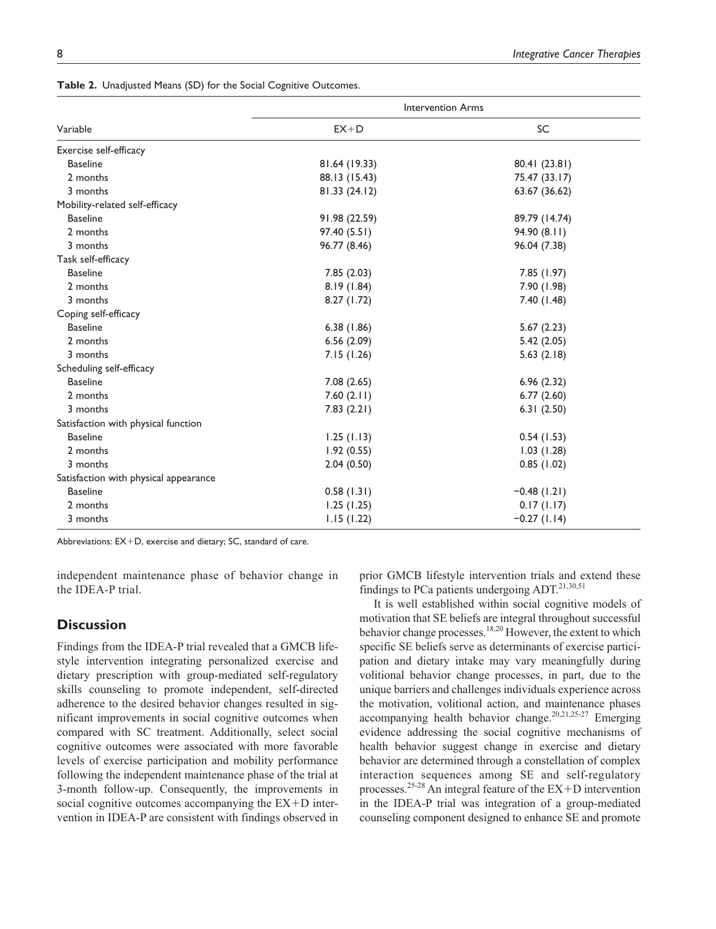| Variable                              | <b>Intervention Arms</b> |               |  |
|---------------------------------------|--------------------------|---------------|--|
|                                       | $EX+D$                   | SC            |  |
| Exercise self-efficacy                |                          |               |  |
| <b>Baseline</b>                       | 81.64 (19.33)            | 80.41 (23.81) |  |
| 2 months                              | 88.13 (15.43)            | 75.47 (33.17) |  |
| 3 months                              | 81.33 (24.12)            | 63.67 (36.62) |  |
| Mobility-related self-efficacy        |                          |               |  |
| <b>Baseline</b>                       | 91.98 (22.59)            | 89.79 (14.74) |  |
| 2 months                              | 97.40 (5.51)             | 94.90(8.11)   |  |
| 3 months                              | 96.77 (8.46)             | 96.04 (7.38)  |  |
| Task self-efficacy                    |                          |               |  |
| <b>Baseline</b>                       | 7.85(2.03)               | 7.85 (1.97)   |  |
| 2 months                              | 8.19 (1.84)              | 7.90 (1.98)   |  |
| 3 months                              | 8.27 (1.72)              | 7.40 (1.48)   |  |
| Coping self-efficacy                  |                          |               |  |
| <b>Baseline</b>                       | 6.38(1.86)               | 5.67(2.23)    |  |
| 2 months                              | 6.56(2.09)               | 5.42(2.05)    |  |
| 3 months                              | 7.15(1.26)               | 5.63(2.18)    |  |
| Scheduling self-efficacy              |                          |               |  |
| <b>Baseline</b>                       | 7.08(2.65)               | 6.96(2.32)    |  |
| 2 months                              | 7.60(2.11)               | 6.77(2.60)    |  |
| 3 months                              | 7.83(2.21)               | 6.31(2.50)    |  |
| Satisfaction with physical function   |                          |               |  |
| <b>Baseline</b>                       | 1.25(1.13)               | 0.54(1.53)    |  |
| 2 months                              | 1.92(0.55)               | 1.03(1.28)    |  |
| 3 months                              | 2.04(0.50)               | 0.85(1.02)    |  |
| Satisfaction with physical appearance |                          |               |  |
| <b>Baseline</b>                       | 0.58(1.31)               | $-0.48(1.21)$ |  |
| 2 months                              | 1.25(1.25)               | 0.17(1.17)    |  |
| 3 months                              | 1.15(1.22)               | $-0.27(1.14)$ |  |

**Table 2.** Unadjusted Means (SD) for the Social Cognitive Outcomes.

Abbreviations: EX+D, exercise and dietary; SC, standard of care.

independent maintenance phase of behavior change in the IDEA-P trial.

# **Discussion**

Findings from the IDEA-P trial revealed that a GMCB lifestyle intervention integrating personalized exercise and dietary prescription with group-mediated self-regulatory skills counseling to promote independent, self-directed adherence to the desired behavior changes resulted in significant improvements in social cognitive outcomes when compared with SC treatment. Additionally, select social cognitive outcomes were associated with more favorable levels of exercise participation and mobility performance following the independent maintenance phase of the trial at 3-month follow-up. Consequently, the improvements in social cognitive outcomes accompanying the EX+D intervention in IDEA-P are consistent with findings observed in prior GMCB lifestyle intervention trials and extend these findings to PCa patients undergoing  $ADT$ .<sup>21,30,51</sup>

It is well established within social cognitive models of motivation that SE beliefs are integral throughout successful behavior change processes.<sup>18,20</sup> However, the extent to which specific SE beliefs serve as determinants of exercise participation and dietary intake may vary meaningfully during volitional behavior change processes, in part, due to the unique barriers and challenges individuals experience across the motivation, volitional action, and maintenance phases accompanying health behavior change.<sup>20,21,25-27</sup> Emerging evidence addressing the social cognitive mechanisms of health behavior suggest change in exercise and dietary behavior are determined through a constellation of complex interaction sequences among SE and self-regulatory processes.<sup>25-28</sup> An integral feature of the  $EX+D$  intervention in the IDEA-P trial was integration of a group-mediated counseling component designed to enhance SE and promote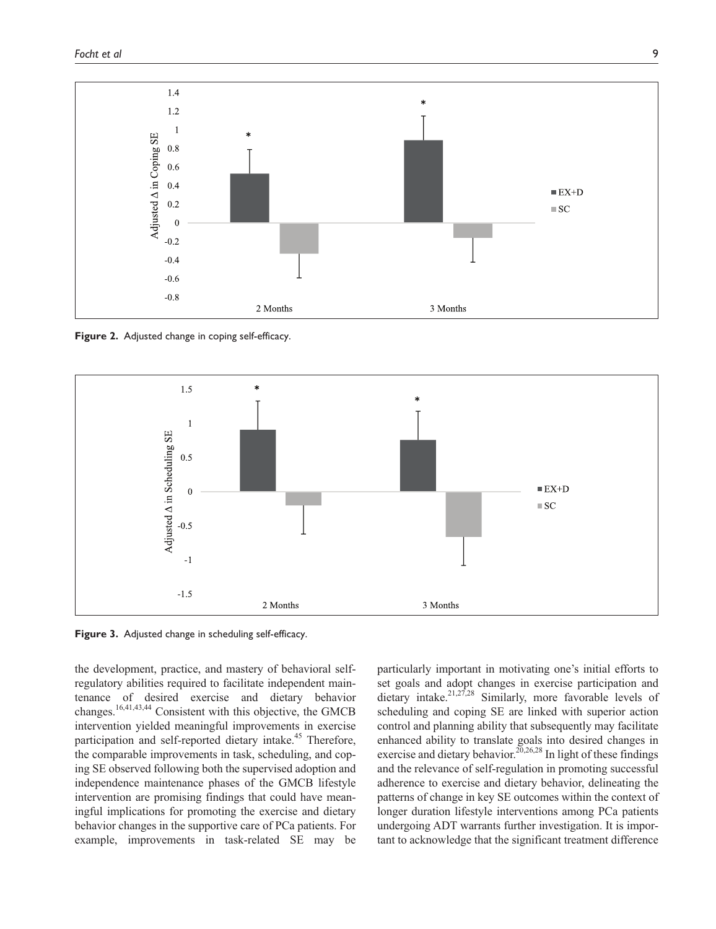

**Figure 2.** Adjusted change in coping self-efficacy.



**Figure 3.** Adjusted change in scheduling self-efficacy.

the development, practice, and mastery of behavioral selfregulatory abilities required to facilitate independent maintenance of desired exercise and dietary behavior changes.16,41,43,44 Consistent with this objective, the GMCB intervention yielded meaningful improvements in exercise participation and self-reported dietary intake.<sup>45</sup> Therefore, the comparable improvements in task, scheduling, and coping SE observed following both the supervised adoption and independence maintenance phases of the GMCB lifestyle intervention are promising findings that could have meaningful implications for promoting the exercise and dietary behavior changes in the supportive care of PCa patients. For example, improvements in task-related SE may be

particularly important in motivating one's initial efforts to set goals and adopt changes in exercise participation and dietary intake.<sup>21,27,28</sup> Similarly, more favorable levels of scheduling and coping SE are linked with superior action control and planning ability that subsequently may facilitate enhanced ability to translate goals into desired changes in exercise and dietary behavior.<sup>20,26,28</sup> In light of these findings and the relevance of self-regulation in promoting successful adherence to exercise and dietary behavior, delineating the patterns of change in key SE outcomes within the context of longer duration lifestyle interventions among PCa patients undergoing ADT warrants further investigation. It is important to acknowledge that the significant treatment difference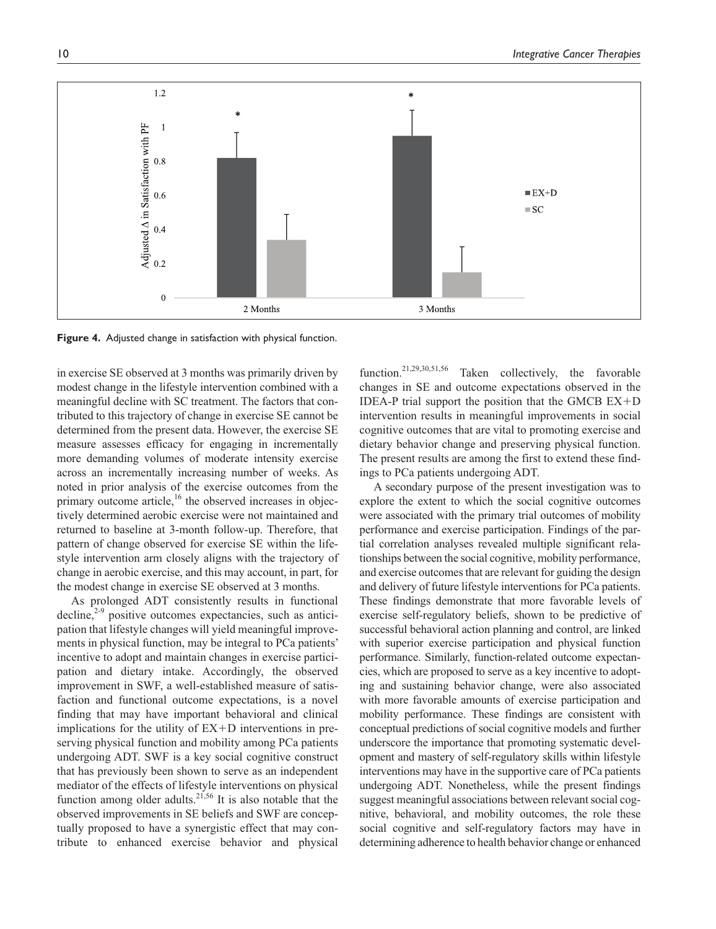

**Figure 4.** Adjusted change in satisfaction with physical function.

in exercise SE observed at 3 months was primarily driven by modest change in the lifestyle intervention combined with a meaningful decline with SC treatment. The factors that contributed to this trajectory of change in exercise SE cannot be determined from the present data. However, the exercise SE measure assesses efficacy for engaging in incrementally more demanding volumes of moderate intensity exercise across an incrementally increasing number of weeks. As noted in prior analysis of the exercise outcomes from the primary outcome article, $16$  the observed increases in objectively determined aerobic exercise were not maintained and returned to baseline at 3-month follow-up. Therefore, that pattern of change observed for exercise SE within the lifestyle intervention arm closely aligns with the trajectory of change in aerobic exercise, and this may account, in part, for the modest change in exercise SE observed at 3 months.

As prolonged ADT consistently results in functional  $\text{decline}$ <sup>2-9</sup> positive outcomes expectancies, such as anticipation that lifestyle changes will yield meaningful improvements in physical function, may be integral to PCa patients' incentive to adopt and maintain changes in exercise participation and dietary intake. Accordingly, the observed improvement in SWF, a well-established measure of satisfaction and functional outcome expectations, is a novel finding that may have important behavioral and clinical implications for the utility of  $EX+D$  interventions in preserving physical function and mobility among PCa patients undergoing ADT. SWF is a key social cognitive construct that has previously been shown to serve as an independent mediator of the effects of lifestyle interventions on physical function among older adults.<sup>21,56</sup> It is also notable that the observed improvements in SE beliefs and SWF are conceptually proposed to have a synergistic effect that may contribute to enhanced exercise behavior and physical

function.<sup>21,29,30,51,56</sup> Taken collectively, the favorable changes in SE and outcome expectations observed in the IDEA-P trial support the position that the GMCB  $EX+D$ intervention results in meaningful improvements in social cognitive outcomes that are vital to promoting exercise and dietary behavior change and preserving physical function. The present results are among the first to extend these findings to PCa patients undergoing ADT.

A secondary purpose of the present investigation was to explore the extent to which the social cognitive outcomes were associated with the primary trial outcomes of mobility performance and exercise participation. Findings of the partial correlation analyses revealed multiple significant relationships between the social cognitive, mobility performance, and exercise outcomes that are relevant for guiding the design and delivery of future lifestyle interventions for PCa patients. These findings demonstrate that more favorable levels of exercise self-regulatory beliefs, shown to be predictive of successful behavioral action planning and control, are linked with superior exercise participation and physical function performance. Similarly, function-related outcome expectancies, which are proposed to serve as a key incentive to adopting and sustaining behavior change, were also associated with more favorable amounts of exercise participation and mobility performance. These findings are consistent with conceptual predictions of social cognitive models and further underscore the importance that promoting systematic development and mastery of self-regulatory skills within lifestyle interventions may have in the supportive care of PCa patients undergoing ADT. Nonetheless, while the present findings suggest meaningful associations between relevant social cognitive, behavioral, and mobility outcomes, the role these social cognitive and self-regulatory factors may have in determining adherence to health behavior change or enhanced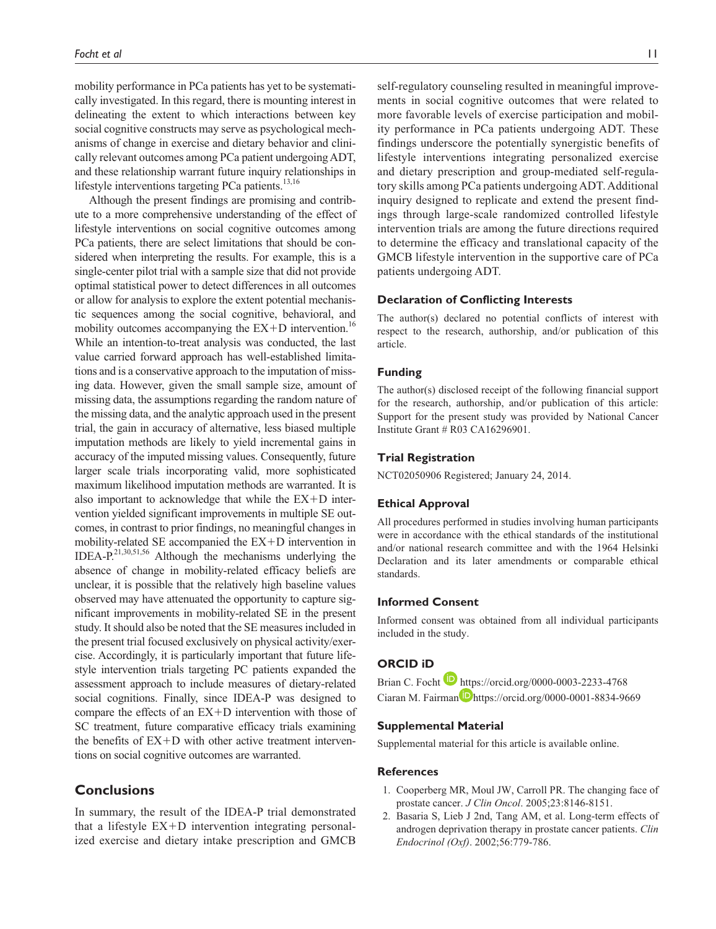mobility performance in PCa patients has yet to be systematically investigated. In this regard, there is mounting interest in delineating the extent to which interactions between key social cognitive constructs may serve as psychological mechanisms of change in exercise and dietary behavior and clinically relevant outcomes among PCa patient undergoing ADT, and these relationship warrant future inquiry relationships in lifestyle interventions targeting PCa patients. $13,16$ 

Although the present findings are promising and contribute to a more comprehensive understanding of the effect of lifestyle interventions on social cognitive outcomes among PCa patients, there are select limitations that should be considered when interpreting the results. For example, this is a single-center pilot trial with a sample size that did not provide optimal statistical power to detect differences in all outcomes or allow for analysis to explore the extent potential mechanistic sequences among the social cognitive, behavioral, and mobility outcomes accompanying the  $EX+D$  intervention.<sup>16</sup> While an intention-to-treat analysis was conducted, the last value carried forward approach has well-established limitations and is a conservative approach to the imputation of missing data. However, given the small sample size, amount of missing data, the assumptions regarding the random nature of the missing data, and the analytic approach used in the present trial, the gain in accuracy of alternative, less biased multiple imputation methods are likely to yield incremental gains in accuracy of the imputed missing values. Consequently, future larger scale trials incorporating valid, more sophisticated maximum likelihood imputation methods are warranted. It is also important to acknowledge that while the  $EX+D$  intervention yielded significant improvements in multiple SE outcomes, in contrast to prior findings, no meaningful changes in mobility-related SE accompanied the EX+D intervention in IDEA-P. $^{21,30,51,56}$  Although the mechanisms underlying the absence of change in mobility-related efficacy beliefs are unclear, it is possible that the relatively high baseline values observed may have attenuated the opportunity to capture significant improvements in mobility-related SE in the present study. It should also be noted that the SE measures included in the present trial focused exclusively on physical activity/exercise. Accordingly, it is particularly important that future lifestyle intervention trials targeting PC patients expanded the assessment approach to include measures of dietary-related social cognitions. Finally, since IDEA-P was designed to compare the effects of an  $EX+D$  intervention with those of SC treatment, future comparative efficacy trials examining the benefits of EX+D with other active treatment interventions on social cognitive outcomes are warranted.

# **Conclusions**

In summary, the result of the IDEA-P trial demonstrated that a lifestyle EX+D intervention integrating personalized exercise and dietary intake prescription and GMCB self-regulatory counseling resulted in meaningful improvements in social cognitive outcomes that were related to more favorable levels of exercise participation and mobility performance in PCa patients undergoing ADT. These findings underscore the potentially synergistic benefits of lifestyle interventions integrating personalized exercise and dietary prescription and group-mediated self-regulatory skills among PCa patients undergoing ADT. Additional inquiry designed to replicate and extend the present findings through large-scale randomized controlled lifestyle intervention trials are among the future directions required to determine the efficacy and translational capacity of the GMCB lifestyle intervention in the supportive care of PCa patients undergoing ADT.

#### **Declaration of Conflicting Interests**

The author(s) declared no potential conflicts of interest with respect to the research, authorship, and/or publication of this article.

#### **Funding**

The author(s) disclosed receipt of the following financial support for the research, authorship, and/or publication of this article: Support for the present study was provided by National Cancer Institute Grant # R03 CA16296901.

### **Trial Registration**

NCT02050906 Registered; January 24, 2014.

#### **Ethical Approval**

All procedures performed in studies involving human participants were in accordance with the ethical standards of the institutional and/or national research committee and with the 1964 Helsinki Declaration and its later amendments or comparable ethical standards.

## **Informed Consent**

Informed consent was obtained from all individual participants included in the study.

# **ORCID iD**

Brian C. Focht **<https://orcid.org/0000-0003-2233-4768>** Ciaran M. Fairman D<https://orcid.org/0000-0001-8834-9669>

#### **Supplemental Material**

Supplemental material for this article is available online.

#### **References**

- 1. Cooperberg MR, Moul JW, Carroll PR. The changing face of prostate cancer. *J Clin Oncol*. 2005;23:8146-8151.
- 2. Basaria S, Lieb J 2nd, Tang AM, et al. Long-term effects of androgen deprivation therapy in prostate cancer patients. *Clin Endocrinol (Oxf)*. 2002;56:779-786.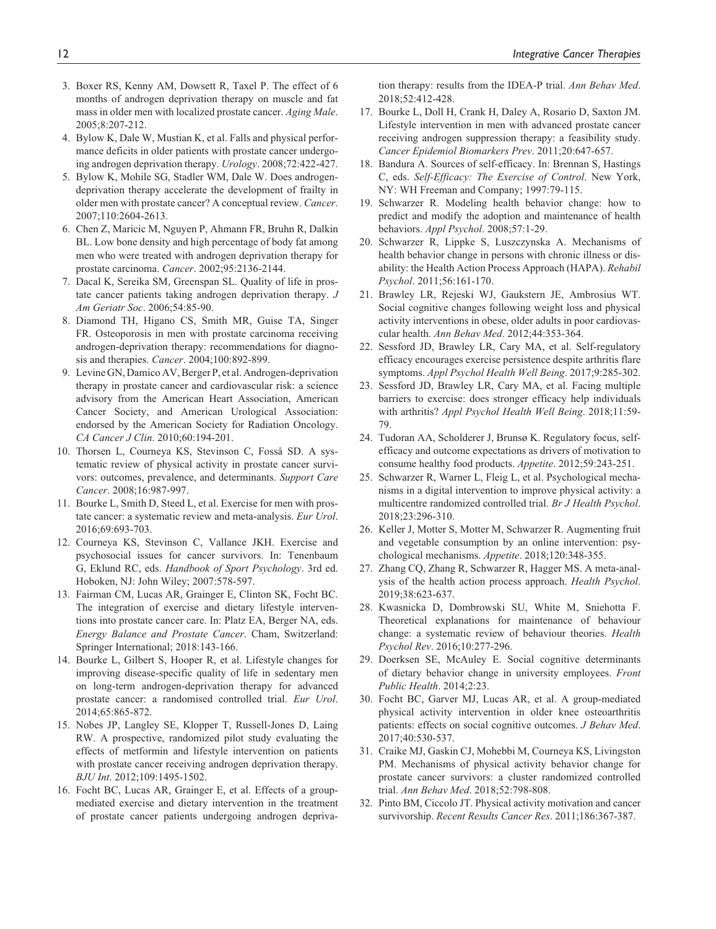- 3. Boxer RS, Kenny AM, Dowsett R, Taxel P. The effect of 6 months of androgen deprivation therapy on muscle and fat mass in older men with localized prostate cancer. *Aging Male*. 2005;8:207-212.
- 4. Bylow K, Dale W, Mustian K, et al. Falls and physical performance deficits in older patients with prostate cancer undergoing androgen deprivation therapy. *Urology*. 2008;72:422-427.
- 5. Bylow K, Mohile SG, Stadler WM, Dale W. Does androgendeprivation therapy accelerate the development of frailty in older men with prostate cancer? A conceptual review. *Cancer*. 2007;110:2604-2613.
- 6. Chen Z, Maricic M, Nguyen P, Ahmann FR, Bruhn R, Dalkin BL. Low bone density and high percentage of body fat among men who were treated with androgen deprivation therapy for prostate carcinoma. *Cancer*. 2002;95:2136-2144.
- 7. Dacal K, Sereika SM, Greenspan SL. Quality of life in prostate cancer patients taking androgen deprivation therapy. *J Am Geriatr Soc*. 2006;54:85-90.
- 8. Diamond TH, Higano CS, Smith MR, Guise TA, Singer FR. Osteoporosis in men with prostate carcinoma receiving androgen-deprivation therapy: recommendations for diagnosis and therapies. *Cancer*. 2004;100:892-899.
- 9. Levine GN, Damico AV, Berger P, et al. Androgen-deprivation therapy in prostate cancer and cardiovascular risk: a science advisory from the American Heart Association, American Cancer Society, and American Urological Association: endorsed by the American Society for Radiation Oncology. *CA Cancer J Clin*. 2010;60:194-201.
- 10. Thorsen L, Courneya KS, Stevinson C, Fosså SD. A systematic review of physical activity in prostate cancer survivors: outcomes, prevalence, and determinants. *Support Care Cancer*. 2008;16:987-997.
- 11. Bourke L, Smith D, Steed L, et al. Exercise for men with prostate cancer: a systematic review and meta-analysis. *Eur Urol*. 2016;69:693-703.
- 12. Courneya KS, Stevinson C, Vallance JKH. Exercise and psychosocial issues for cancer survivors. In: Tenenbaum G, Eklund RC, eds. *Handbook of Sport Psychology*. 3rd ed. Hoboken, NJ: John Wiley; 2007:578-597.
- 13. Fairman CM, Lucas AR, Grainger E, Clinton SK, Focht BC. The integration of exercise and dietary lifestyle interventions into prostate cancer care. In: Platz EA, Berger NA, eds. *Energy Balance and Prostate Cancer*. Cham, Switzerland: Springer International; 2018:143-166.
- 14. Bourke L, Gilbert S, Hooper R, et al. Lifestyle changes for improving disease-specific quality of life in sedentary men on long-term androgen-deprivation therapy for advanced prostate cancer: a randomised controlled trial. *Eur Urol*. 2014;65:865-872.
- 15. Nobes JP, Langley SE, Klopper T, Russell-Jones D, Laing RW. A prospective, randomized pilot study evaluating the effects of metformin and lifestyle intervention on patients with prostate cancer receiving androgen deprivation therapy. *BJU Int*. 2012;109:1495-1502.
- 16. Focht BC, Lucas AR, Grainger E, et al. Effects of a groupmediated exercise and dietary intervention in the treatment of prostate cancer patients undergoing androgen depriva-

tion therapy: results from the IDEA-P trial. *Ann Behav Med*. 2018;52:412-428.

- 17. Bourke L, Doll H, Crank H, Daley A, Rosario D, Saxton JM. Lifestyle intervention in men with advanced prostate cancer receiving androgen suppression therapy: a feasibility study. *Cancer Epidemiol Biomarkers Prev*. 2011;20:647-657.
- 18. Bandura A. Sources of self-efficacy. In: Brennan S, Hastings C, eds. *Self-Efficacy: The Exercise of Control*. New York, NY: WH Freeman and Company; 1997:79-115.
- 19. Schwarzer R. Modeling health behavior change: how to predict and modify the adoption and maintenance of health behaviors. *Appl Psychol*. 2008;57:1-29.
- 20. Schwarzer R, Lippke S, Luszczynska A. Mechanisms of health behavior change in persons with chronic illness or disability: the Health Action Process Approach (HAPA). *Rehabil Psychol*. 2011;56:161-170.
- 21. Brawley LR, Rejeski WJ, Gaukstern JE, Ambrosius WT. Social cognitive changes following weight loss and physical activity interventions in obese, older adults in poor cardiovascular health. *Ann Behav Med*. 2012;44:353-364.
- 22. Sessford JD, Brawley LR, Cary MA, et al. Self-regulatory efficacy encourages exercise persistence despite arthritis flare symptoms. *Appl Psychol Health Well Being*. 2017;9:285-302.
- 23. Sessford JD, Brawley LR, Cary MA, et al. Facing multiple barriers to exercise: does stronger efficacy help individuals with arthritis? *Appl Psychol Health Well Being*. 2018;11:59- 79.
- 24. Tudoran AA, Scholderer J, Brunsø K. Regulatory focus, selfefficacy and outcome expectations as drivers of motivation to consume healthy food products. *Appetite*. 2012;59:243-251.
- 25. Schwarzer R, Warner L, Fleig L, et al. Psychological mechanisms in a digital intervention to improve physical activity: a multicentre randomized controlled trial. *Br J Health Psychol*. 2018;23:296-310.
- 26. Keller J, Motter S, Motter M, Schwarzer R. Augmenting fruit and vegetable consumption by an online intervention: psychological mechanisms. *Appetite*. 2018;120:348-355.
- 27. Zhang CQ, Zhang R, Schwarzer R, Hagger MS. A meta-analysis of the health action process approach. *Health Psychol*. 2019;38:623-637.
- 28. Kwasnicka D, Dombrowski SU, White M, Sniehotta F. Theoretical explanations for maintenance of behaviour change: a systematic review of behaviour theories. *Health Psychol Rev*. 2016;10:277-296.
- 29. Doerksen SE, McAuley E. Social cognitive determinants of dietary behavior change in university employees. *Front Public Health*. 2014;2:23.
- 30. Focht BC, Garver MJ, Lucas AR, et al. A group-mediated physical activity intervention in older knee osteoarthritis patients: effects on social cognitive outcomes. *J Behav Med*. 2017;40:530-537.
- 31. Craike MJ, Gaskin CJ, Mohebbi M, Courneya KS, Livingston PM. Mechanisms of physical activity behavior change for prostate cancer survivors: a cluster randomized controlled trial. *Ann Behav Med*. 2018;52:798-808.
- 32. Pinto BM, Ciccolo JT. Physical activity motivation and cancer survivorship. *Recent Results Cancer Res*. 2011;186:367-387.